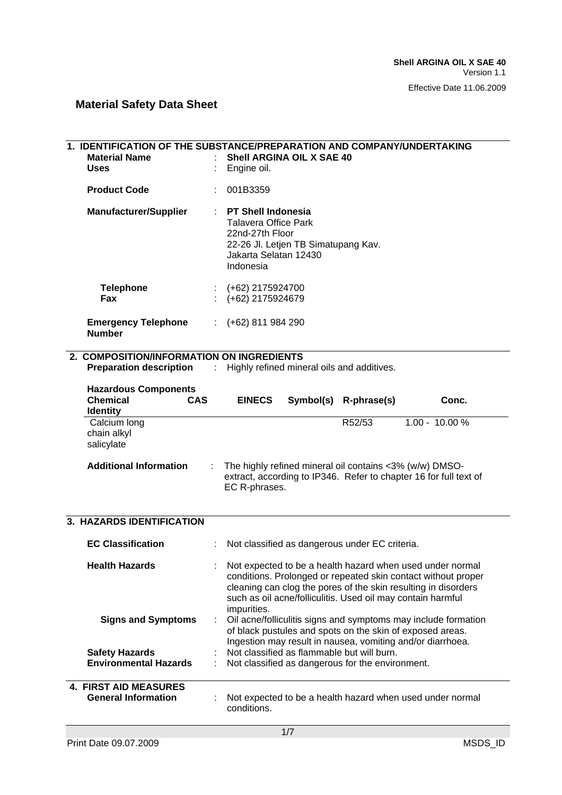| <b>Uses</b> | <b>Material Name</b>                                                            |                               | 1. IDENTIFICATION OF THE SUBSTANCE/PREPARATION AND COMPANY/UNDERTAKING<br>Shell ARGINA OIL X SAE 40<br>Engine oil.                                                                                                                                                         |
|-------------|---------------------------------------------------------------------------------|-------------------------------|----------------------------------------------------------------------------------------------------------------------------------------------------------------------------------------------------------------------------------------------------------------------------|
|             | <b>Product Code</b>                                                             |                               | 001B3359                                                                                                                                                                                                                                                                   |
|             | <b>Manufacturer/Supplier</b>                                                    |                               | <b>PT Shell Indonesia</b><br><b>Talavera Office Park</b><br>22nd-27th Floor<br>22-26 Jl. Letjen TB Simatupang Kav.<br>Jakarta Selatan 12430<br>Indonesia                                                                                                                   |
|             | <b>Telephone</b><br>Fax                                                         |                               | $\div$ (+62) 2175924700<br>(+62) 2175924679                                                                                                                                                                                                                                |
|             | <b>Emergency Telephone</b><br><b>Number</b>                                     | $\mathcal{I}^{\mathcal{I}}$ . | $(+62)$ 811 984 290                                                                                                                                                                                                                                                        |
|             | 2. COMPOSITION/INFORMATION ON INGREDIENTS                                       |                               |                                                                                                                                                                                                                                                                            |
|             |                                                                                 |                               | <b>Preparation description</b> : Highly refined mineral oils and additives.                                                                                                                                                                                                |
|             | <b>Hazardous Components</b><br><b>Chemical</b><br><b>CAS</b><br><b>Identity</b> |                               | <b>EINECS</b><br>Symbol(s) R-phrase(s)<br>Conc.                                                                                                                                                                                                                            |
|             | Calcium long<br>chain alkyl<br>salicylate                                       |                               | R52/53<br>$1.00 - 10.00 %$                                                                                                                                                                                                                                                 |
|             | <b>Additional Information</b>                                                   |                               | The highly refined mineral oil contains <3% (w/w) DMSO-<br>extract, according to IP346. Refer to chapter 16 for full text of<br>EC R-phrases.                                                                                                                              |
|             | 3. HAZARDS IDENTIFICATION                                                       |                               |                                                                                                                                                                                                                                                                            |
|             | <b>EC Classification</b>                                                        |                               | : Not classified as dangerous under EC criteria.                                                                                                                                                                                                                           |
|             | <b>Health Hazards</b>                                                           |                               | Not expected to be a health hazard when used under normal<br>conditions. Prolonged or repeated skin contact without proper<br>cleaning can clog the pores of the skin resulting in disorders<br>such as oil acne/folliculitis. Used oil may contain harmful<br>impurities. |
|             | <b>Signs and Symptoms</b>                                                       |                               | Oil acne/folliculitis signs and symptoms may include formation<br>of black pustules and spots on the skin of exposed areas.<br>Ingestion may result in nausea, vomiting and/or diarrhoea.                                                                                  |
|             | <b>Safety Hazards</b><br><b>Environmental Hazards</b>                           |                               | Not classified as flammable but will burn.<br>Not classified as dangerous for the environment.                                                                                                                                                                             |
|             |                                                                                 |                               |                                                                                                                                                                                                                                                                            |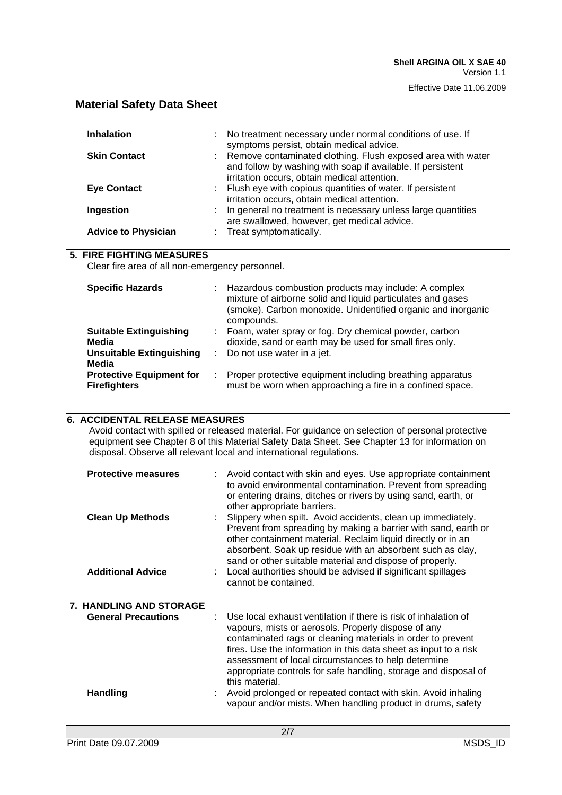#### Effective Date 11.06.2009

### **Material Safety Data Sheet**

| <b>Inhalation</b>          | : No treatment necessary under normal conditions of use. If<br>symptoms persist, obtain medical advice.                                                                      |
|----------------------------|------------------------------------------------------------------------------------------------------------------------------------------------------------------------------|
| <b>Skin Contact</b>        | : Remove contaminated clothing. Flush exposed area with water<br>and follow by washing with soap if available. If persistent<br>irritation occurs, obtain medical attention. |
| <b>Eye Contact</b>         | : Flush eye with copious quantities of water. If persistent<br>irritation occurs, obtain medical attention.                                                                  |
| Ingestion                  | : In general no treatment is necessary unless large quantities<br>are swallowed, however, get medical advice.                                                                |
| <b>Advice to Physician</b> | Treat symptomatically.                                                                                                                                                       |

#### **5. FIRE FIGHTING MEASURES**

Clear fire area of all non-emergency personnel.

| <b>Specific Hazards</b>                                | ÷ | Hazardous combustion products may include: A complex<br>mixture of airborne solid and liquid particulates and gases<br>(smoke). Carbon monoxide. Unidentified organic and inorganic<br>compounds. |
|--------------------------------------------------------|---|---------------------------------------------------------------------------------------------------------------------------------------------------------------------------------------------------|
| <b>Suitable Extinguishing</b><br>Media                 | ÷ | Foam, water spray or fog. Dry chemical powder, carbon<br>dioxide, sand or earth may be used for small fires only.                                                                                 |
| <b>Unsuitable Extinguishing</b><br>Media               |   | Do not use water in a jet.                                                                                                                                                                        |
| <b>Protective Equipment for</b><br><b>Firefighters</b> | ÷ | Proper protective equipment including breathing apparatus<br>must be worn when approaching a fire in a confined space.                                                                            |

### **6. ACCIDENTAL RELEASE MEASURES**

Avoid contact with spilled or released material. For guidance on selection of personal protective equipment see Chapter 8 of this Material Safety Data Sheet. See Chapter 13 for information on disposal. Observe all relevant local and international regulations.

| <b>Protective measures</b><br><b>Clean Up Methods</b><br><b>Additional Advice</b> | : Avoid contact with skin and eyes. Use appropriate containment<br>to avoid environmental contamination. Prevent from spreading<br>or entering drains, ditches or rivers by using sand, earth, or<br>other appropriate barriers.<br>Slippery when spilt. Avoid accidents, clean up immediately.<br>Prevent from spreading by making a barrier with sand, earth or<br>other containment material. Reclaim liquid directly or in an<br>absorbent. Soak up residue with an absorbent such as clay,<br>sand or other suitable material and dispose of properly.<br>: Local authorities should be advised if significant spillages<br>cannot be contained. |
|-----------------------------------------------------------------------------------|-------------------------------------------------------------------------------------------------------------------------------------------------------------------------------------------------------------------------------------------------------------------------------------------------------------------------------------------------------------------------------------------------------------------------------------------------------------------------------------------------------------------------------------------------------------------------------------------------------------------------------------------------------|
| <b>7. HANDLING AND STORAGE</b><br><b>General Precautions</b><br><b>Handling</b>   | Use local exhaust ventilation if there is risk of inhalation of<br>vapours, mists or aerosols. Properly dispose of any<br>contaminated rags or cleaning materials in order to prevent<br>fires. Use the information in this data sheet as input to a risk<br>assessment of local circumstances to help determine<br>appropriate controls for safe handling, storage and disposal of<br>this material.<br>Avoid prolonged or repeated contact with skin. Avoid inhaling<br>vapour and/or mists. When handling product in drums, safety                                                                                                                 |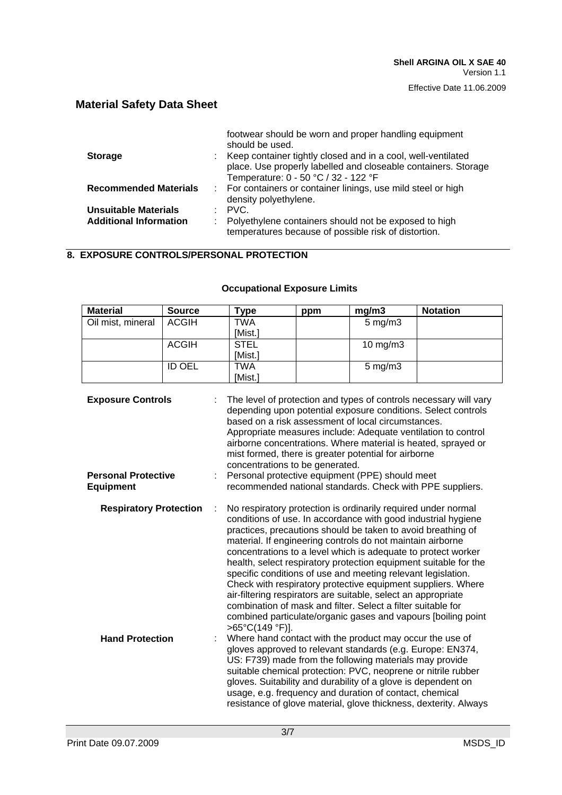|                               | footwear should be worn and proper handling equipment<br>should be used. |
|-------------------------------|--------------------------------------------------------------------------|
| <b>Storage</b>                | : Keep container tightly closed and in a cool, well-ventilated           |
|                               | place. Use properly labelled and closeable containers. Storage           |
|                               | Temperature: 0 - 50 °C / 32 - 122 °F                                     |
| <b>Recommended Materials</b>  | : For containers or container linings, use mild steel or high            |
|                               | density polyethylene.                                                    |
| <b>Unsuitable Materials</b>   | $\therefore$ PVC.                                                        |
| <b>Additional Information</b> | Polyethylene containers should not be exposed to high                    |
|                               | temperatures because of possible risk of distortion.                     |

### **8. EXPOSURE CONTROLS/PERSONAL PROTECTION**

#### **Occupational Exposure Limits**

| <b>Material</b>                                                                                                                                                  | <b>Source</b> | Type        | ppm | mg/m3              | <b>Notation</b> |
|------------------------------------------------------------------------------------------------------------------------------------------------------------------|---------------|-------------|-----|--------------------|-----------------|
| Oil mist, mineral                                                                                                                                                | <b>ACGIH</b>  | TWA         |     | $5 \text{ mg/m}$ 3 |                 |
|                                                                                                                                                                  |               | [Mist.]     |     |                    |                 |
|                                                                                                                                                                  | ACGIH         | <b>STEL</b> |     | 10 $mg/m3$         |                 |
|                                                                                                                                                                  |               | [Mist.]     |     |                    |                 |
|                                                                                                                                                                  | <b>ID OEL</b> | TWA         |     | $5 \text{ mg/m}$ 3 |                 |
|                                                                                                                                                                  |               | [Mist.]     |     |                    |                 |
| : The level of protection and types of controls necessary will vary<br><b>Exposure Controls</b><br>depending upon potential eveneure conditional Coloet controle |               |             |     |                    |                 |

| <b>Exposure Controls</b>   | : The level of protection and types of controls necessary will vary<br>depending upon potential exposure conditions. Select controls<br>based on a risk assessment of local circumstances.<br>Appropriate measures include: Adequate ventilation to control<br>airborne concentrations. Where material is heated, sprayed or<br>mist formed, there is greater potential for airborne<br>concentrations to be generated. |
|----------------------------|-------------------------------------------------------------------------------------------------------------------------------------------------------------------------------------------------------------------------------------------------------------------------------------------------------------------------------------------------------------------------------------------------------------------------|
| <b>Personal Protective</b> | : Personal protective equipment (PPE) should meet                                                                                                                                                                                                                                                                                                                                                                       |
| <b>Equipment</b>           | recommended national standards. Check with PPE suppliers.                                                                                                                                                                                                                                                                                                                                                               |

| <b>Respiratory Protection</b> | No respiratory protection is ordinarily required under normal<br>conditions of use. In accordance with good industrial hygiene<br>practices, precautions should be taken to avoid breathing of<br>material. If engineering controls do not maintain airborne<br>concentrations to a level which is adequate to protect worker<br>health, select respiratory protection equipment suitable for the<br>specific conditions of use and meeting relevant legislation.<br>Check with respiratory protective equipment suppliers. Where<br>air-filtering respirators are suitable, select an appropriate<br>combination of mask and filter. Select a filter suitable for<br>combined particulate/organic gases and vapours (boiling point)<br>$>65^{\circ}C(149^{\circ}F)$ . |
|-------------------------------|------------------------------------------------------------------------------------------------------------------------------------------------------------------------------------------------------------------------------------------------------------------------------------------------------------------------------------------------------------------------------------------------------------------------------------------------------------------------------------------------------------------------------------------------------------------------------------------------------------------------------------------------------------------------------------------------------------------------------------------------------------------------|
| <b>Hand Protection</b>        | : Where hand contact with the product may occur the use of<br>gloves approved to relevant standards (e.g. Europe: EN374,                                                                                                                                                                                                                                                                                                                                                                                                                                                                                                                                                                                                                                               |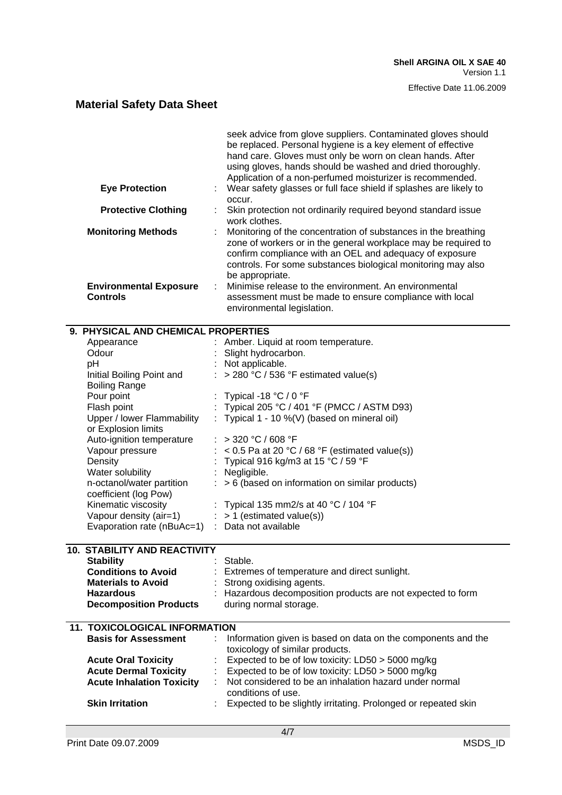#### Effective Date 11.06.2009

# **Material Safety Data Sheet**

|                                                  | seek advice from glove suppliers. Contaminated gloves should<br>be replaced. Personal hygiene is a key element of effective<br>hand care. Gloves must only be worn on clean hands. After<br>using gloves, hands should be washed and dried thoroughly.<br>Application of a non-perfumed moisturizer is recommended. |
|--------------------------------------------------|---------------------------------------------------------------------------------------------------------------------------------------------------------------------------------------------------------------------------------------------------------------------------------------------------------------------|
| <b>Eye Protection</b>                            | : Wear safety glasses or full face shield if splashes are likely to<br>occur.                                                                                                                                                                                                                                       |
| <b>Protective Clothing</b>                       | Skin protection not ordinarily required beyond standard issue<br>work clothes.                                                                                                                                                                                                                                      |
| <b>Monitoring Methods</b>                        | Monitoring of the concentration of substances in the breathing<br>zone of workers or in the general workplace may be required to<br>confirm compliance with an OEL and adequacy of exposure<br>controls. For some substances biological monitoring may also<br>be appropriate.                                      |
| <b>Environmental Exposure</b><br><b>Controls</b> | : Minimise release to the environment. An environmental<br>assessment must be made to ensure compliance with local<br>environmental legislation.                                                                                                                                                                    |

| 9. PHYSICAL AND CHEMICAL PROPERTIES  |  |                                                              |  |  |
|--------------------------------------|--|--------------------------------------------------------------|--|--|
| Appearance                           |  | Amber. Liquid at room temperature.                           |  |  |
| Odour                                |  | Slight hydrocarbon.                                          |  |  |
| pH                                   |  | Not applicable.                                              |  |  |
| Initial Boiling Point and            |  | > 280 °C / 536 °F estimated value(s)                         |  |  |
| <b>Boiling Range</b>                 |  |                                                              |  |  |
| Pour point                           |  | Typical -18 °C / 0 °F                                        |  |  |
| Flash point                          |  | Typical 205 °C / 401 °F (PMCC / ASTM D93)                    |  |  |
| Upper / lower Flammability           |  | Typical 1 - 10 %(V) (based on mineral oil)                   |  |  |
| or Explosion limits                  |  |                                                              |  |  |
| Auto-ignition temperature            |  | > 320 °C / 608 °F                                            |  |  |
| Vapour pressure                      |  | < 0.5 Pa at 20 °C / 68 °F (estimated value(s))               |  |  |
| Density                              |  | Typical 916 kg/m3 at 15 °C / 59 °F                           |  |  |
| Water solubility                     |  | Negligible.                                                  |  |  |
| n-octanol/water partition            |  | > 6 (based on information on similar products)               |  |  |
| coefficient (log Pow)                |  |                                                              |  |  |
| Kinematic viscosity                  |  | Typical 135 mm2/s at 40 °C / 104 °F                          |  |  |
| Vapour density (air=1)               |  | $:$ > 1 (estimated value(s))                                 |  |  |
| Evaporation rate (nBuAc=1)           |  | : Data not available                                         |  |  |
|                                      |  |                                                              |  |  |
| <b>10. STABILITY AND REACTIVITY</b>  |  |                                                              |  |  |
| <b>Stability</b>                     |  | Stable.                                                      |  |  |
| <b>Conditions to Avoid</b>           |  | Extremes of temperature and direct sunlight.                 |  |  |
| <b>Materials to Avoid</b>            |  | Strong oxidising agents.                                     |  |  |
| <b>Hazardous</b>                     |  | Hazardous decomposition products are not expected to form    |  |  |
| <b>Decomposition Products</b>        |  | during normal storage.                                       |  |  |
|                                      |  |                                                              |  |  |
| <b>11. TOXICOLOGICAL INFORMATION</b> |  |                                                              |  |  |
| <b>Basis for Assessment</b>          |  | Information given is based on data on the components and the |  |  |
|                                      |  | toxicology of similar products.                              |  |  |
| <b>Acute Oral Toxicity</b>           |  | Expected to be of low toxicity: LD50 > 5000 mg/kg            |  |  |
| <b>Acute Dermal Toxicity</b>         |  | Expected to be of low toxicity: LD50 > 5000 mg/kg            |  |  |
| <b>Acute Inhalation Toxicity</b>     |  | Not considered to be an inhalation hazard under normal       |  |  |
|                                      |  | conditions of use.                                           |  |  |

**Skin Irritation Expected to be slightly irritating. Prolonged or repeated skin**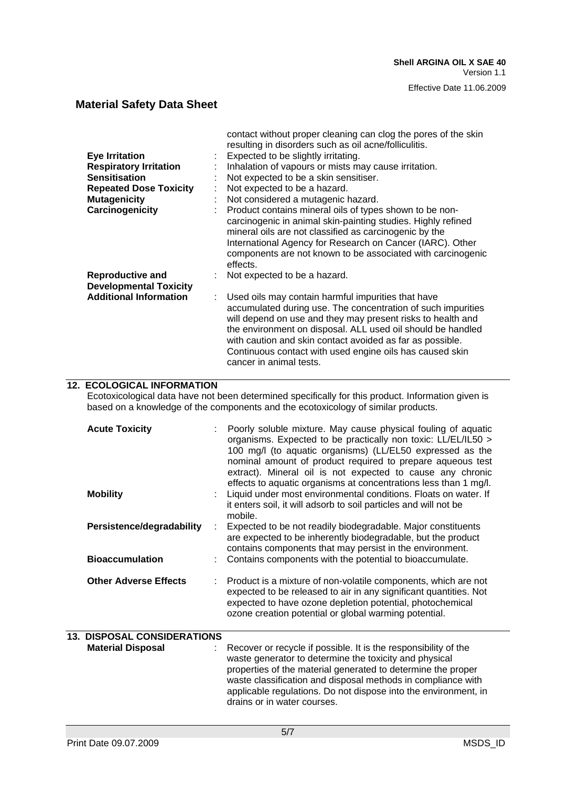|                                                          | contact without proper cleaning can clog the pores of the skin<br>resulting in disorders such as oil acne/folliculitis.                                                                                                                                                                                                                                                                              |
|----------------------------------------------------------|------------------------------------------------------------------------------------------------------------------------------------------------------------------------------------------------------------------------------------------------------------------------------------------------------------------------------------------------------------------------------------------------------|
| <b>Eye Irritation</b>                                    | Expected to be slightly irritating.                                                                                                                                                                                                                                                                                                                                                                  |
| <b>Respiratory Irritation</b>                            | Inhalation of vapours or mists may cause irritation.                                                                                                                                                                                                                                                                                                                                                 |
|                                                          |                                                                                                                                                                                                                                                                                                                                                                                                      |
| <b>Sensitisation</b>                                     | Not expected to be a skin sensitiser.                                                                                                                                                                                                                                                                                                                                                                |
| <b>Repeated Dose Toxicity</b>                            | Not expected to be a hazard.                                                                                                                                                                                                                                                                                                                                                                         |
| <b>Mutagenicity</b>                                      | Not considered a mutagenic hazard.                                                                                                                                                                                                                                                                                                                                                                   |
| Carcinogenicity                                          | Product contains mineral oils of types shown to be non-<br>carcinogenic in animal skin-painting studies. Highly refined<br>mineral oils are not classified as carcinogenic by the<br>International Agency for Research on Cancer (IARC). Other<br>components are not known to be associated with carcinogenic<br>effects.                                                                            |
| <b>Reproductive and</b><br><b>Developmental Toxicity</b> | : Not expected to be a hazard.                                                                                                                                                                                                                                                                                                                                                                       |
| <b>Additional Information</b>                            | Used oils may contain harmful impurities that have<br>accumulated during use. The concentration of such impurities<br>will depend on use and they may present risks to health and<br>the environment on disposal. ALL used oil should be handled<br>with caution and skin contact avoided as far as possible.<br>Continuous contact with used engine oils has caused skin<br>cancer in animal tests. |

### **12. ECOLOGICAL INFORMATION**

Ecotoxicological data have not been determined specifically for this product. Information given is based on a knowledge of the components and the ecotoxicology of similar products.

| <b>Acute Toxicity</b>              | Poorly soluble mixture. May cause physical fouling of aquatic<br>organisms. Expected to be practically non toxic: LL/EL/IL50 ><br>100 mg/l (to aquatic organisms) (LL/EL50 expressed as the<br>nominal amount of product required to prepare aqueous test<br>extract). Mineral oil is not expected to cause any chronic<br>effects to aquatic organisms at concentrations less than 1 mg/l. |
|------------------------------------|---------------------------------------------------------------------------------------------------------------------------------------------------------------------------------------------------------------------------------------------------------------------------------------------------------------------------------------------------------------------------------------------|
| <b>Mobility</b>                    | Liquid under most environmental conditions. Floats on water. If<br>it enters soil, it will adsorb to soil particles and will not be<br>mobile.                                                                                                                                                                                                                                              |
| Persistence/degradability          | Expected to be not readily biodegradable. Major constituents<br>are expected to be inherently biodegradable, but the product<br>contains components that may persist in the environment.                                                                                                                                                                                                    |
| <b>Bioaccumulation</b>             | Contains components with the potential to bioaccumulate.                                                                                                                                                                                                                                                                                                                                    |
| <b>Other Adverse Effects</b>       | Product is a mixture of non-volatile components, which are not<br>expected to be released to air in any significant quantities. Not<br>expected to have ozone depletion potential, photochemical<br>ozone creation potential or global warming potential.                                                                                                                                   |
| <b>13. DISPOSAL CONSIDERATIONS</b> |                                                                                                                                                                                                                                                                                                                                                                                             |

| <b>Material Disposal</b> | : Recover or recycle if possible. It is the responsibility of the<br>waste generator to determine the toxicity and physical<br>properties of the material generated to determine the proper<br>waste classification and disposal methods in compliance with<br>applicable regulations. Do not dispose into the environment, in<br>drains or in water courses. |
|--------------------------|---------------------------------------------------------------------------------------------------------------------------------------------------------------------------------------------------------------------------------------------------------------------------------------------------------------------------------------------------------------|
|                          |                                                                                                                                                                                                                                                                                                                                                               |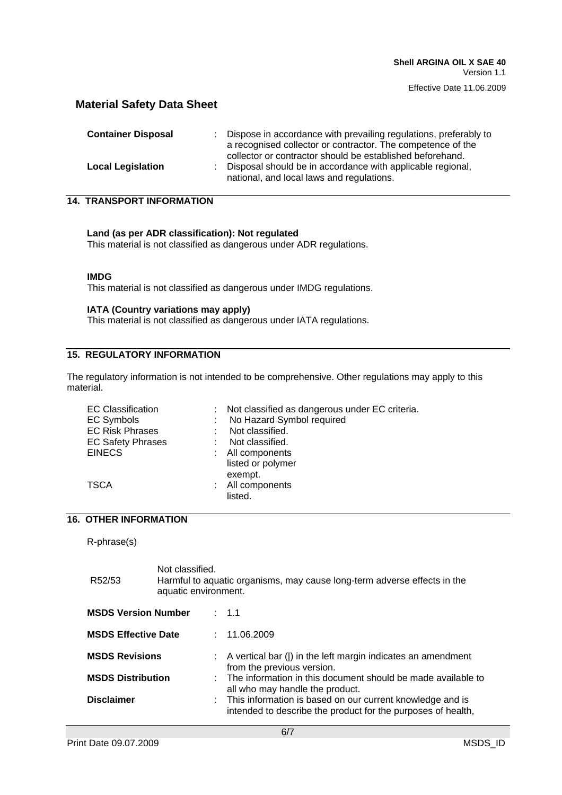| <b>Container Disposal</b> | : Dispose in accordance with prevailing regulations, preferably to<br>a recognised collector or contractor. The competence of the                                      |
|---------------------------|------------------------------------------------------------------------------------------------------------------------------------------------------------------------|
| <b>Local Legislation</b>  | collector or contractor should be established beforehand.<br>: Disposal should be in accordance with applicable regional,<br>national, and local laws and regulations. |

**14. TRANSPORT INFORMATION**

**Land (as per ADR classification): Not regulated** This material is not classified as dangerous under ADR regulations.

#### **IMDG**

This material is not classified as dangerous under IMDG regulations.

#### **IATA (Country variations may apply)**

This material is not classified as dangerous under IATA regulations.

### **15. REGULATORY INFORMATION**

The regulatory information is not intended to be comprehensive. Other regulations may apply to this material.

# **16. OTHER INFORMATION**

R-phrase(s)

| R <sub>52</sub> /53        | Not classified.<br>Harmful to aquatic organisms, may cause long-term adverse effects in the<br>aquatic environment. |  |                                                                                                                             |  |  |
|----------------------------|---------------------------------------------------------------------------------------------------------------------|--|-----------------------------------------------------------------------------------------------------------------------------|--|--|
| <b>MSDS Version Number</b> |                                                                                                                     |  | $\therefore$ 1.1                                                                                                            |  |  |
| <b>MSDS Effective Date</b> |                                                                                                                     |  | : 11.06.2009                                                                                                                |  |  |
| <b>MSDS Revisions</b>      |                                                                                                                     |  | $\therefore$ A vertical bar ( ) in the left margin indicates an amendment<br>from the previous version.                     |  |  |
| <b>MSDS Distribution</b>   |                                                                                                                     |  | : The information in this document should be made available to<br>all who may handle the product.                           |  |  |
| <b>Disclaimer</b>          |                                                                                                                     |  | : This information is based on our current knowledge and is<br>intended to describe the product for the purposes of health, |  |  |